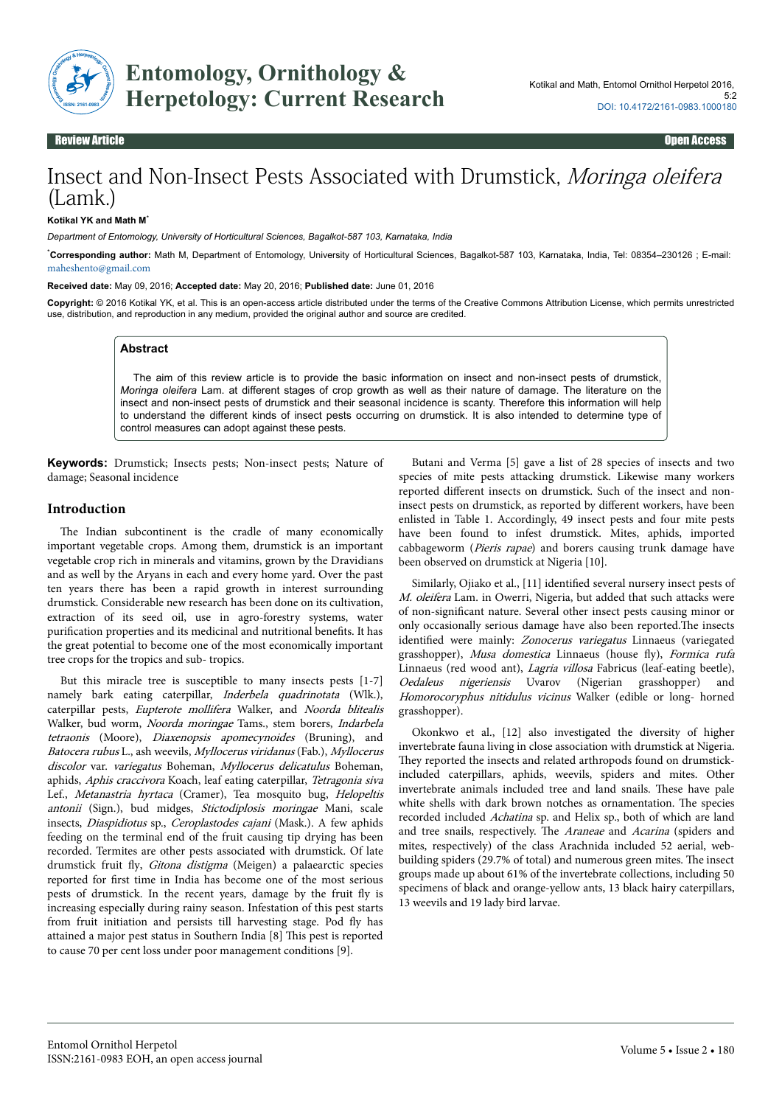

**Entomology, Ornithology & Herpetology: Current Research**

Review Article Open Access

# Insect and Non-Insect Pests Associated with Drumstick, Moringa oleifera (Lamk.)

#### **Kotikal YK and Math M**\*

*Department of Entomology, University of Horticultural Sciences, Bagalkot-587 103, Karnataka, India*

\***Corresponding author:** Math M, Department of Entomology, University of Horticultural Sciences, Bagalkot-587 103, Karnataka, India, Tel: 08354–230126 ; E-mail: [maheshento@gmail.com](mailto:maheshento@gmail.com)

**Received date:** May 09, 2016; **Accepted date:** May 20, 2016; **Published date:** June 01, 2016

**Copyright:** © 2016 Kotikal YK, et al. This is an open-access article distributed under the terms of the Creative Commons Attribution License, which permits unrestricted use, distribution, and reproduction in any medium, provided the original author and source are credited.

#### **Abstract**

The aim of this review article is to provide the basic information on insect and non-insect pests of drumstick, *Moringa oleifera* Lam. at different stages of crop growth as well as their nature of damage. The literature on the insect and non-insect pests of drumstick and their seasonal incidence is scanty. Therefore this information will help to understand the different kinds of insect pests occurring on drumstick. It is also intended to determine type of control measures can adopt against these pests.

**Keywords:** Drumstick; Insects pests; Non-insect pests; Nature of damage; Seasonal incidence

# **Introduction**

The Indian subcontinent is the cradle of many economically important vegetable crops. Among them, drumstick is an important vegetable crop rich in minerals and vitamins, grown by the Dravidians and as well by the Aryans in each and every home yard. Over the past ten years there has been a rapid growth in interest surrounding drumstick. Considerable new research has been done on its cultivation, extraction of its seed oil, use in agro-forestry systems, water purification properties and its medicinal and nutritional benefits. It has the great potential to become one of the most economically important tree crops for the tropics and sub- tropics.

But this miracle tree is susceptible to many insects pests [1-7] namely bark eating caterpillar, Inderbela quadrinotata (Wlk.), caterpillar pests, Eupterote mollifera Walker, and Noorda blitealis Walker, bud worm, Noorda moringae Tams., stem borers, Indarbela tetraonis (Moore), Diaxenopsis apomecynoides (Bruning), and Batocera rubus L., ash weevils, Myllocerus viridanus (Fab.), Myllocerus discolor var. variegatus Boheman, Myllocerus delicatulus Boheman, aphids, Aphis craccivora Koach, leaf eating caterpillar, Tetragonia siva Lef., Metanastria hyrtaca (Cramer), Tea mosquito bug, Helopeltis antonii (Sign.), bud midges, Stictodiplosis moringae Mani, scale insects, Diaspidiotus sp., Ceroplastodes cajani (Mask.). A few aphids feeding on the terminal end of the fruit causing tip drying has been recorded. Termites are other pests associated with drumstick. Of late drumstick fruit fly, Gitona distigma (Meigen) a palaearctic species reported for first time in India has become one of the most serious pests of drumstick. In the recent years, damage by the fruit fly is increasing especially during rainy season. Infestation of this pest starts from fruit initiation and persists till harvesting stage. Pod fly has attained a major pest status in Southern India [8] Нis pest is reported to cause 70 per cent loss under poor management conditions [9].

Butani and Verma [5] gave a list of 28 species of insects and two species of mite pests attacking drumstick. Likewise many workers reported different insects on drumstick. Such of the insect and noninsect pests on drumstick, as reported by different workers, have been enlisted in Table 1. Accordingly, 49 insect pests and four mite pests have been found to infest drumstick. Mites, aphids, imported cabbageworm (Pieris rapae) and borers causing trunk damage have been observed on drumstick at Nigeria [10].

Similarly, Ojiako et al., [11] identified several nursery insect pests of M. oleifera Lam. in Owerri, Nigeria, but added that such attacks were of non-significant nature. Several other insect pests causing minor or only occasionally serious damage have also been reported.Нe insects identified were mainly: Zonocerus variegatus Linnaeus (variegated grasshopper), Musa domestica Linnaeus (house fly), Formica rufa Linnaeus (red wood ant), *Lagria villosa* Fabricus (leaf-eating beetle), Oedaleus nigeriensis Uvarov (Nigerian grasshopper) and Homorocoryphus nitidulus vicinus Walker (edible or long- horned grasshopper).

Okonkwo et al., [12] also investigated the diversity of higher invertebrate fauna living in close association with drumstick at Nigeria. They reported the insects and related arthropods found on drumstickincluded caterpillars, aphids, weevils, spiders and mites. Other invertebrate animals included tree and land snails. Нese have pale white shells with dark brown notches as ornamentation. Нe species recorded included Achatina sp. and Helix sp., both of which are land and tree snails, respectively. The Araneae and Acarina (spiders and mites, respectively) of the class Arachnida included 52 aerial, webbuilding spiders (29.7% of total) and numerous green mites. Нe insect groups made up about 61% of the invertebrate collections, including 50 specimens of black and orange-yellow ants, 13 black hairy caterpillars, 13 weevils and 19 lady bird larvae.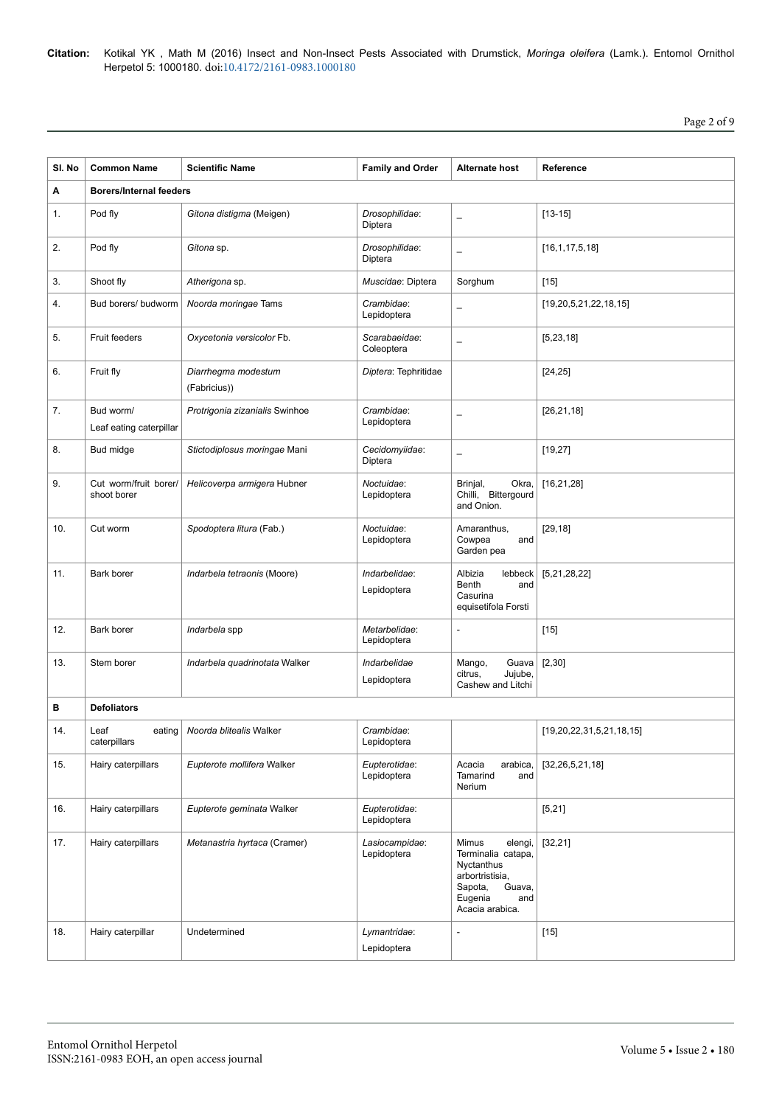| SI. No | <b>Common Name</b>                   | <b>Scientific Name</b>              | <b>Family and Order</b>       | <b>Alternate host</b>                                                                                                             | Reference                   |  |  |
|--------|--------------------------------------|-------------------------------------|-------------------------------|-----------------------------------------------------------------------------------------------------------------------------------|-----------------------------|--|--|
| Α      | <b>Borers/Internal feeders</b>       |                                     |                               |                                                                                                                                   |                             |  |  |
| 1.     | Pod fly                              | Gitona distigma (Meigen)            | Drosophilidae:<br>Diptera     | $\overline{\phantom{0}}$                                                                                                          | $[13 - 15]$                 |  |  |
| 2.     | Pod fly                              | Gitona sp.                          | Drosophilidae:<br>Diptera     | $\overline{\phantom{0}}$                                                                                                          | [16, 1, 17, 5, 18]          |  |  |
| 3.     | Shoot fly                            | Atherigona sp.                      | Muscidae: Diptera             | Sorghum                                                                                                                           | $[15]$                      |  |  |
| 4.     | Bud borers/ budworm                  | Noorda moringae Tams                | Crambidae:<br>Lepidoptera     | L.                                                                                                                                | [19, 20, 5, 21, 22, 18, 15] |  |  |
| 5.     | <b>Fruit feeders</b>                 | Oxycetonia versicolor Fb.           | Scarabaeidae:<br>Coleoptera   | $\overline{\phantom{0}}$                                                                                                          | [5, 23, 18]                 |  |  |
| 6.     | Fruit fly                            | Diarrhegma modestum<br>(Fabricius)) | Diptera: Tephritidae          |                                                                                                                                   | [24, 25]                    |  |  |
| 7.     | Bud worm/<br>Leaf eating caterpillar | Protrigonia zizanialis Swinhoe      | Crambidae:<br>Lepidoptera     | $\overline{\phantom{0}}$                                                                                                          | [26, 21, 18]                |  |  |
| 8.     | Bud midge                            | Stictodiplosus moringae Mani        | Cecidomyiidae:<br>Diptera     | $\equiv$                                                                                                                          | [19, 27]                    |  |  |
| 9.     | Cut worm/fruit borer/<br>shoot borer | Helicoverpa armigera Hubner         | Noctuidae:<br>Lepidoptera     | Okra,<br>Brinjal,<br>Chilli, Bittergourd<br>and Onion.                                                                            | [16, 21, 28]                |  |  |
| 10.    | Cut worm                             | Spodoptera litura (Fab.)            | Noctuidae:<br>Lepidoptera     | Amaranthus,<br>Cowpea<br>and<br>Garden pea                                                                                        | [29, 18]                    |  |  |
| 11.    | Bark borer                           | Indarbela tetraonis (Moore)         | Indarbelidae:<br>Lepidoptera  | Albizia<br>lebbeck<br>Benth<br>and<br>Casurina<br>equisetifola Forsti                                                             | [5,21,28,22]                |  |  |
| 12.    | Bark borer                           | Indarbela spp                       | Metarbelidae:<br>Lepidoptera  | L,                                                                                                                                | $[15]$                      |  |  |
| 13.    | Stem borer                           | Indarbela quadrinotata Walker       | Indarbelidae<br>Lepidoptera   | Guava<br>Mango,<br>Jujube,<br>citrus,<br>Cashew and Litchi                                                                        | [2, 30]                     |  |  |
| в      | <b>Defoliators</b>                   |                                     |                               |                                                                                                                                   |                             |  |  |
| 14.    | Leaf<br>eating<br>caterpillars       | Noorda blitealis Walker             | Crambidae:<br>Lepidoptera     |                                                                                                                                   | [19,20,22,31,5,21,18,15]    |  |  |
| 15.    | Hairy caterpillars                   | Eupterote mollifera Walker          | Eupterotidae:<br>Lepidoptera  | Acacia<br>arabica,<br>Tamarind<br>and<br>Nerium                                                                                   | [32, 26, 5, 21, 18]         |  |  |
| 16.    | Hairy caterpillars                   | Eupterote geminata Walker           | Eupterotidae:<br>Lepidoptera  |                                                                                                                                   | [5, 21]                     |  |  |
| 17.    | Hairy caterpillars                   | Metanastria hyrtaca (Cramer)        | Lasiocampidae:<br>Lepidoptera | Mimus<br>elengi,<br>Terminalia catapa,<br>Nyctanthus<br>arbortristisia,<br>Sapota,<br>Guava,<br>Eugenia<br>and<br>Acacia arabica. | [32, 21]                    |  |  |
| 18.    | Hairy caterpillar                    | Undetermined                        | Lymantridae:<br>Lepidoptera   | $\overline{a}$                                                                                                                    | $[15]$                      |  |  |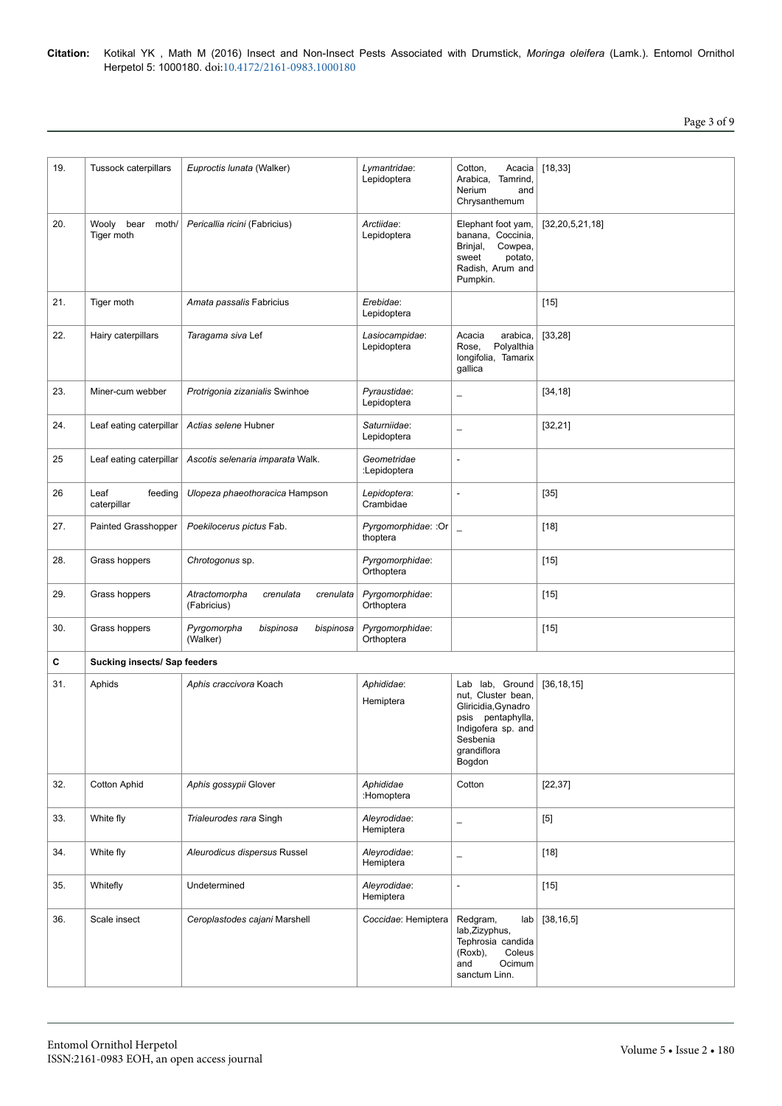# Page 3 of 9

| 19. | Tussock caterpillars              | Euproctis lunata (Walker)                              | Lymantridae:<br>Lepidoptera      | Cotton,<br>Acacia<br>Tamrind.<br>Arabica,<br>Nerium<br>and<br>Chrysanthemum                                                                     | [18, 33]            |  |
|-----|-----------------------------------|--------------------------------------------------------|----------------------------------|-------------------------------------------------------------------------------------------------------------------------------------------------|---------------------|--|
| 20. | Wooly bear<br>moth/<br>Tiger moth | Pericallia ricini (Fabricius)                          | Arctiidae:<br>Lepidoptera        | Elephant foot yam,<br>banana, Coccinia,<br>Cowpea,<br>Brinjal,<br>sweet<br>potato,<br>Radish, Arum and<br>Pumpkin.                              | [32, 20, 5, 21, 18] |  |
| 21. | Tiger moth                        | Amata passalis Fabricius                               | Erebidae:<br>Lepidoptera         |                                                                                                                                                 | $[15]$              |  |
| 22. | Hairy caterpillars                | Taragama siva Lef                                      | Lasiocampidae:<br>Lepidoptera    | arabica,<br>Acacia<br>Polyalthia<br>Rose,<br>longifolia, Tamarix<br>gallica                                                                     | [33, 28]            |  |
| 23. | Miner-cum webber                  | Protrigonia zizanialis Swinhoe                         | Pyraustidae:<br>Lepidoptera      | $\overline{\phantom{0}}$                                                                                                                        | [34, 18]            |  |
| 24. | Leaf eating caterpillar           | Actias selene Hubner                                   | Saturniidae:<br>Lepidoptera      | $\overline{\phantom{0}}$                                                                                                                        | [32, 21]            |  |
| 25  | Leaf eating caterpillar           | Ascotis selenaria imparata Walk.                       | Geometridae<br>:Lepidoptera      | $\overline{\phantom{m}}$                                                                                                                        |                     |  |
| 26  | Leaf<br>feeding<br>caterpillar    | Ulopeza phaeothoracica Hampson                         | Lepidoptera:<br>Crambidae        | $\overline{a}$                                                                                                                                  | $[35]$              |  |
| 27. | Painted Grasshopper               | Poekilocerus pictus Fab.                               | Pyrgomorphidae: : Or<br>thoptera | $\overline{\phantom{0}}$                                                                                                                        | $[18]$              |  |
| 28. | Grass hoppers                     | Chrotogonus sp.                                        | Pyrgomorphidae:<br>Orthoptera    |                                                                                                                                                 | $[15]$              |  |
| 29. | Grass hoppers                     | Atractomorpha<br>crenulata<br>crenulata<br>(Fabricius) | Pyrgomorphidae:<br>Orthoptera    |                                                                                                                                                 | $[15]$              |  |
| 30. | Grass hoppers                     | Pyrgomorpha<br>bispinosa<br>bispinosa<br>(Walker)      | Pyrgomorphidae:<br>Orthoptera    |                                                                                                                                                 | $[15]$              |  |
| С   | Sucking insects/ Sap feeders      |                                                        |                                  |                                                                                                                                                 |                     |  |
| 31. | Aphids                            | Aphis craccivora Koach                                 | Aphididae:<br>Hemiptera          | Lab lab, Ground<br>nut, Cluster bean,<br>Gliricidia, Gynadro<br>psis<br>pentaphylla,<br>Indigofera sp. and<br>Sesbenia<br>grandiflora<br>Bogdon | [36, 18, 15]        |  |
| 32. | <b>Cotton Aphid</b>               | Aphis gossypii Glover                                  | Aphididae<br>:Homoptera          | Cotton                                                                                                                                          | [22, 37]            |  |
| 33. | White fly                         | Trialeurodes rara Singh                                | Aleyrodidae:<br>Hemiptera        | $\qquad \qquad -$                                                                                                                               | $[5]$               |  |
| 34. | White fly                         | Aleurodicus dispersus Russel                           | Aleyrodidae:<br>Hemiptera        | $\qquad \qquad -$                                                                                                                               | $[18]$              |  |
| 35. | Whitefly                          | Undetermined                                           | Aleyrodidae:<br>Hemiptera        | $\blacksquare$                                                                                                                                  | $[15]$              |  |
| 36. | Scale insect                      | Ceroplastodes cajani Marshell                          | Coccidae: Hemiptera              | Redgram,<br>lab<br>lab, Zizyphus,<br>Tephrosia candida<br>(Roxb),<br>Coleus<br>Ocimum<br>and<br>sanctum Linn.                                   | [38, 16, 5]         |  |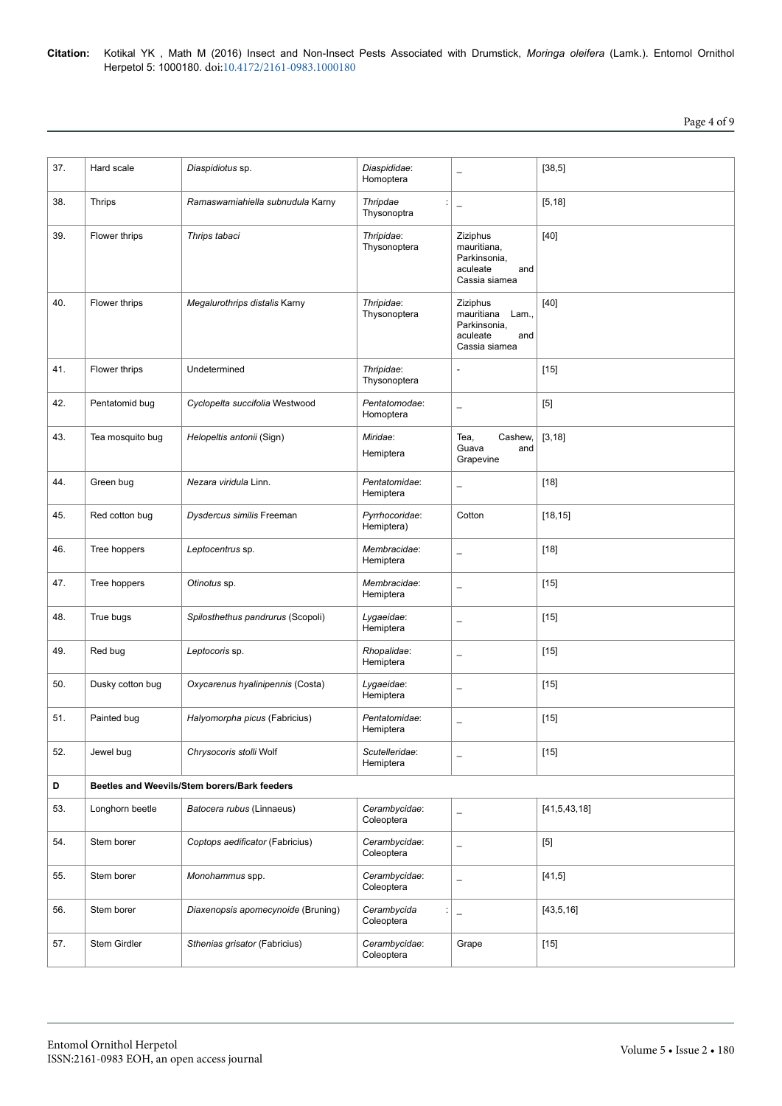# Page 4 of 9

| 37. | Hard scale                                   | Diaspidiotus sp.                   | Diaspididae:<br>Homoptera      | $\overline{\phantom{0}}$                                                            | [38, 5]         |  |  |
|-----|----------------------------------------------|------------------------------------|--------------------------------|-------------------------------------------------------------------------------------|-----------------|--|--|
| 38. | <b>Thrips</b>                                | Ramaswamiahiella subnudula Karny   | Thripdae<br>Thysonoptra        | $\overline{\phantom{0}}$                                                            | [5, 18]         |  |  |
| 39. | Flower thrips                                | Thrips tabaci                      | Thripidae:<br>Thysonoptera     | Ziziphus<br>mauritiana,<br>Parkinsonia,<br>aculeate<br>and<br>Cassia siamea         | $[40]$          |  |  |
| 40. | Flower thrips                                | Megalurothrips distalis Karny      | Thripidae:<br>Thysonoptera     | Ziziphus<br>mauritiana<br>Lam.,<br>Parkinsonia,<br>aculeate<br>and<br>Cassia siamea | $[40]$          |  |  |
| 41. | Flower thrips                                | Undetermined                       | Thripidae:<br>Thysonoptera     | $\overline{\phantom{a}}$                                                            | $[15]$          |  |  |
| 42. | Pentatomid bug                               | Cyclopelta succifolia Westwood     | Pentatomodae:<br>Homoptera     | $\overline{\phantom{0}}$                                                            | $[5]$           |  |  |
| 43. | Tea mosquito bug                             | Helopeltis antonii (Sign)          | Miridae:<br>Hemiptera          | Tea,<br>Cashew,<br>Guava<br>and<br>Grapevine                                        | [3, 18]         |  |  |
| 44. | Green bug                                    | Nezara viridula Linn.              | Pentatomidae:<br>Hemiptera     | $\overline{\phantom{0}}$                                                            | $[18]$          |  |  |
| 45. | Red cotton bug                               | Dysdercus similis Freeman          | Pyrrhocoridae:<br>Hemiptera)   | Cotton                                                                              | [18, 15]        |  |  |
| 46. | Tree hoppers                                 | Leptocentrus sp.                   | Membracidae:<br>Hemiptera      | $\overline{\phantom{0}}$                                                            | $[18]$          |  |  |
| 47. | Tree hoppers                                 | Otinotus sp.                       | Membracidae:<br>Hemiptera      | $\overline{\phantom{0}}$                                                            | $[15]$          |  |  |
| 48. | True bugs                                    | Spilosthethus pandrurus (Scopoli)  | Lygaeidae:<br>Hemiptera        | $\overline{\phantom{0}}$                                                            | $[15]$          |  |  |
| 49. | Red bug                                      | Leptocoris sp.                     | Rhopalidae:<br>Hemiptera       | $\qquad \qquad -$                                                                   | $[15]$          |  |  |
| 50. | Dusky cotton bug                             | Oxycarenus hyalinipennis (Costa)   | Lygaeidae:<br>Hemiptera        | $\overline{\phantom{0}}$                                                            | $[15]$          |  |  |
| 51. | Painted bug                                  | Halyomorpha picus (Fabricius)      | Pentatomidae:<br>Hemiptera     | $\overline{\phantom{0}}$                                                            | $[15]$          |  |  |
| 52. | Jewel bug                                    | Chrysocoris stolli Wolf            | Scutelleridae:<br>Hemiptera    | $\overline{\phantom{0}}$                                                            | $[15]$          |  |  |
| D   | Beetles and Weevils/Stem borers/Bark feeders |                                    |                                |                                                                                     |                 |  |  |
| 53. | Longhorn beetle                              | Batocera rubus (Linnaeus)          | Cerambycidae:<br>Coleoptera    | $\overline{\phantom{m}}$                                                            | [41, 5, 43, 18] |  |  |
| 54. | Stem borer                                   | Coptops aedificator (Fabricius)    | Cerambycidae:<br>Coleoptera    | $\overline{\phantom{0}}$                                                            | $[5]$           |  |  |
| 55. | Stem borer                                   | Monohammus spp.                    | Cerambycidae:<br>Coleoptera    | $\overline{\phantom{0}}$                                                            | [41,5]          |  |  |
| 56. | Stem borer                                   | Diaxenopsis apomecynoide (Bruning) | Cerambycida<br>÷<br>Coleoptera | $\equiv$                                                                            | [43, 5, 16]     |  |  |
| 57. | Stem Girdler                                 | Sthenias grisator (Fabricius)      | Cerambycidae:<br>Coleoptera    | Grape                                                                               | $[15]$          |  |  |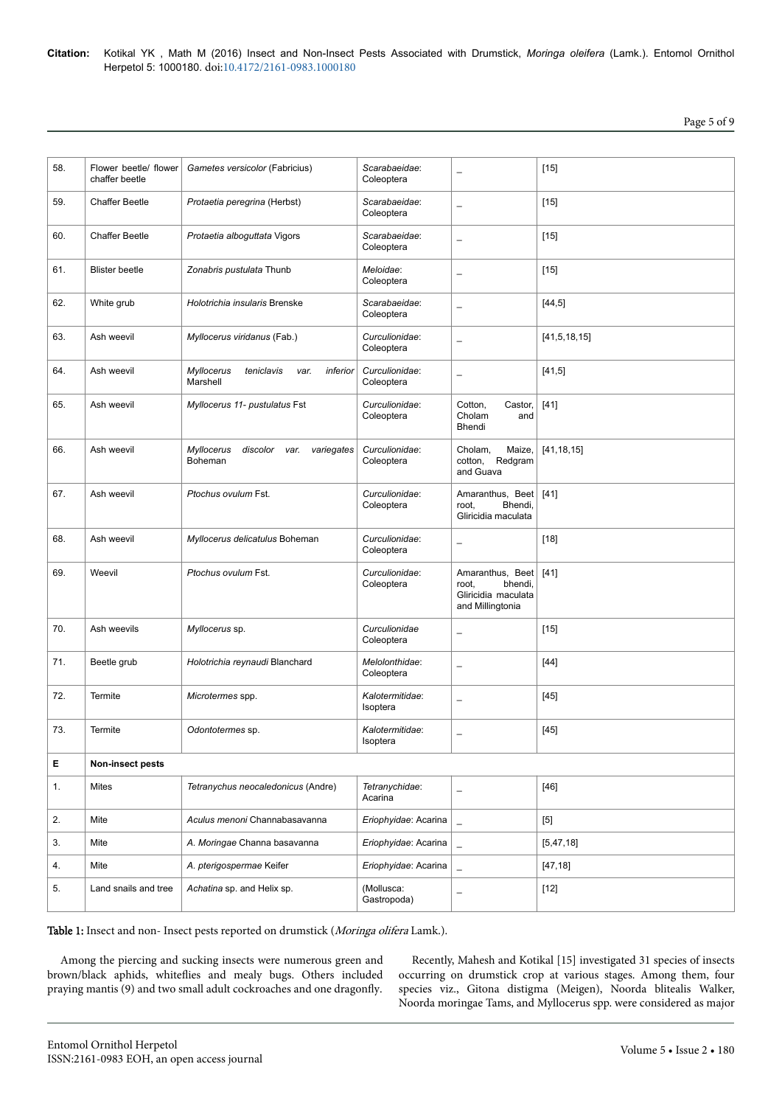Page 5 of 9

| 58. | Flower beetle/ flower<br>chaffer beetle | Gametes versicolor (Fabricius)                                 | Scarabaeidae:<br>Coleoptera  | $\overline{\phantom{0}}$                                                        | $[15]$       |  |
|-----|-----------------------------------------|----------------------------------------------------------------|------------------------------|---------------------------------------------------------------------------------|--------------|--|
| 59. | <b>Chaffer Beetle</b>                   | Protaetia peregrina (Herbst)                                   | Scarabaeidae:<br>Coleoptera  | $\overline{\phantom{0}}$                                                        | $[15]$       |  |
| 60. | <b>Chaffer Beetle</b>                   | Protaetia alboguttata Vigors                                   | Scarabaeidae:<br>Coleoptera  | $\overline{\phantom{0}}$                                                        | $[15]$       |  |
| 61. | <b>Blister beetle</b>                   | Zonabris pustulata Thunb                                       | Meloidae:<br>Coleoptera      | $\overline{\phantom{0}}$                                                        | $[15]$       |  |
| 62. | White grub                              | Holotrichia insularis Brenske                                  | Scarabaeidae:<br>Coleoptera  | $\overline{\phantom{0}}$                                                        | [44, 5]      |  |
| 63. | Ash weevil                              | Myllocerus viridanus (Fab.)                                    | Curculionidae:<br>Coleoptera | $\overline{\phantom{0}}$                                                        | [41,5,18,15] |  |
| 64. | Ash weevil                              | Myllocerus<br>teniclavis<br>inferior<br>var.<br>Marshell       | Curculionidae:<br>Coleoptera | $\qquad \qquad -$                                                               | [41,5]       |  |
| 65. | Ash weevil                              | Myllocerus 11- pustulatus Fst                                  | Curculionidae:<br>Coleoptera | Cotton,<br>Castor,<br>Cholam<br>and<br>Bhendi                                   | $[41]$       |  |
| 66. | Ash weevil                              | <b>Myllocerus</b><br>discolor<br>variegates<br>var.<br>Boheman | Curculionidae:<br>Coleoptera | Cholam.<br>Maize,<br>Redgram<br>cotton,<br>and Guava                            | [41, 18, 15] |  |
| 67. | Ash weevil                              | Ptochus ovulum Fst.                                            | Curculionidae:<br>Coleoptera | Amaranthus, Beet<br>Bhendi,<br>root,<br>Gliricidia maculata                     | $[41]$       |  |
| 68. | Ash weevil                              | Myllocerus delicatulus Boheman                                 | Curculionidae:<br>Coleoptera | $\overline{\phantom{0}}$                                                        | $[18]$       |  |
| 69. | Weevil                                  | Ptochus ovulum Fst.                                            | Curculionidae:<br>Coleoptera | Amaranthus, Beet<br>bhendi,<br>root.<br>Gliricidia maculata<br>and Millingtonia | $[41]$       |  |
| 70. | Ash weevils                             | Myllocerus sp.                                                 | Curculionidae<br>Coleoptera  | $\overline{\phantom{0}}$                                                        | $[15]$       |  |
| 71. | Beetle grub                             | Holotrichia reynaudi Blanchard                                 | Melolonthidae:<br>Coleoptera | $\qquad \qquad -$                                                               | $[44]$       |  |
| 72. | <b>Termite</b>                          | Microtermes spp.                                               | Kalotermitidae:<br>Isoptera  | $\overline{\phantom{0}}$                                                        | $[45]$       |  |
| 73. | Termite                                 | Odontotermes sp.                                               | Kalotermitidae:<br>Isoptera  | $\overline{\phantom{0}}$                                                        | $[45]$       |  |
| Е   | <b>Non-insect pests</b>                 |                                                                |                              |                                                                                 |              |  |
| 1.  | Mites                                   | Tetranychus neocaledonicus (Andre)                             | Tetranychidae:<br>Acarina    | $\qquad \qquad -$                                                               | $[46]$       |  |
| 2.  | Mite                                    | Aculus menoni Channabasavanna                                  | Eriophyidae: Acarina         | $\equiv$                                                                        | $[5]$        |  |
| 3.  | Mite                                    | A. Moringae Channa basavanna                                   | Eriophyidae: Acarina         | $\overline{a}$                                                                  | [5, 47, 18]  |  |
| 4.  | Mite                                    | A. pterigospermae Keifer                                       | Eriophyidae: Acarina         | $\equiv$                                                                        | [47, 18]     |  |
| 5.  | Land snails and tree                    | Achatina sp. and Helix sp.                                     | (Mollusca:<br>Gastropoda)    | $\qquad \qquad -$                                                               | $[12]$       |  |

Table 1: Insect and non- Insect pests reported on drumstick (Moringa olifera Lamk.).

Among the piercing and sucking insects were numerous green and brown/black aphids, whiteflies and mealy bugs. Others included praying mantis (9) and two small adult cockroaches and one dragonfl\.

Recently, Mahesh and Kotikal [15] investigated 31 species of insects occurring on drumstick crop at various stages. Among them, four species viz., Gitona distigma (Meigen), Noorda blitealis Walker, Noorda moringae Tams, and Myllocerus spp. were considered as major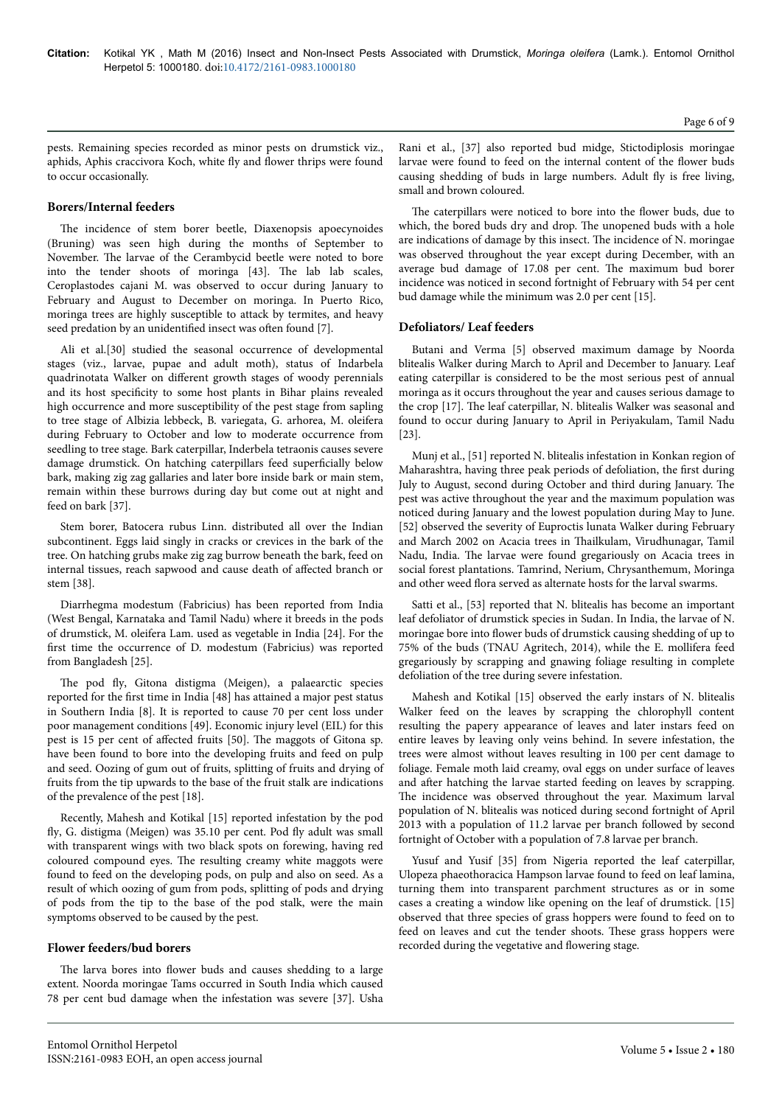pests. Remaining species recorded as minor pests on drumstick viz., aphids, Aphis craccivora Koch, white fly and flower thrips were found to occur occasionally.

# **Borers/Internal feeders**

The incidence of stem borer beetle, Diaxenopsis apoecynoides (Bruning) was seen high during the months of September to November. Нe larvae of the Cerambycid beetle were noted to bore into the tender shoots of moringa [43]. Нe lab lab scales, Ceroplastodes cajani M. was observed to occur during January to February and August to December on moringa. In Puerto Rico, moringa trees are highly susceptible to attack by termites, and heavy seed predation by an unidentified insect was often found [7].

Ali et al.[30] studied the seasonal occurrence of developmental stages (viz., larvae, pupae and adult moth), status of Indarbela quadrinotata Walker on different growth stages of woody perennials and its host specificity to some host plants in Bihar plains revealed high occurrence and more susceptibility of the pest stage from sapling to tree stage of Albizia lebbeck, B. variegata, G. arhorea, M. oleifera during February to October and low to moderate occurrence from seedling to tree stage. Bark caterpillar, Inderbela tetraonis causes severe damage drumstick. On hatching caterpillars feed superficially below bark, making zig zag gallaries and later bore inside bark or main stem, remain within these burrows during day but come out at night and feed on bark [37].

Stem borer, Batocera rubus Linn. distributed all over the Indian subcontinent. Eggs laid singly in cracks or crevices in the bark of the tree. On hatching grubs make zig zag burrow beneath the bark, feed on internal tissues, reach sapwood and cause death of affected branch or stem [38].

Diarrhegma modestum (Fabricius) has been reported from India (West Bengal, Karnataka and Tamil Nadu) where it breeds in the pods of drumstick, M. oleifera Lam. used as vegetable in India [24]. For the first time the occurrence of D. modestum (Fabricius) was reported from Bangladesh [25].

The pod fly, Gitona distigma (Meigen), a palaearctic species reported for the first time in India [48] has attained a major pest status in Southern India [8]. It is reported to cause 70 per cent loss under poor management conditions [49]. Economic injury level (EIL) for this pest is 15 per cent of affected fruits [50]. The maggots of Gitona sp. have been found to bore into the developing fruits and feed on pulp and seed. Oozing of gum out of fruits, splitting of fruits and drying of fruits from the tip upwards to the base of the fruit stalk are indications of the prevalence of the pest [18].

Recently, Mahesh and Kotikal [15] reported infestation by the pod fly, G. distigma (Meigen) was 35.10 per cent. Pod fly adult was small with transparent wings with two black spots on forewing, having red coloured compound eyes. Нe resulting creamy white maggots were found to feed on the developing pods, on pulp and also on seed. As a result of which oozing of gum from pods, splitting of pods and drying of pods from the tip to the base of the pod stalk, were the main symptoms observed to be caused by the pest.

# **Flower feeders/bud borers**

The larva bores into flower buds and causes shedding to a large extent. Noorda moringae Tams occurred in South India which caused 78 per cent bud damage when the infestation was severe [37]. Usha

Rani et al., [37] also reported bud midge, Stictodiplosis moringae larvae were found to feed on the internal content of the flower buds causing shedding of buds in large numbers. Adult fly is free living, small and brown coloured.

The caterpillars were noticed to bore into the flower buds, due to which, the bored buds dry and drop. Нe unopened buds with a hole are indications of damage by this insect. Нe incidence of N. moringae was observed throughout the year except during December, with an average bud damage of 17.08 per cent. Нe maximum bud borer incidence was noticed in second fortnight of February with 54 per cent bud damage while the minimum was 2.0 per cent [15].

# **Defoliators/ Leaf feeders**

Butani and Verma [5] observed maximum damage by Noorda blitealis Walker during March to April and December to January. Leaf eating caterpillar is considered to be the most serious pest of annual moringa as it occurs throughout the year and causes serious damage to the crop [17]. Нe leaf caterpillar, N. blitealis Walker was seasonal and found to occur during January to April in Periyakulam, Tamil Nadu [23].

Munj et al., [51] reported N. blitealis infestation in Konkan region of Maharashtra, having three peak periods of defoliation, the first during July to August, second during October and third during January. Нe pest was active throughout the year and the maximum population was noticed during January and the lowest population during May to June. [52] observed the severity of Euproctis lunata Walker during February and March 2002 on Acacia trees in Нailkulam, Virudhunagar, Tamil Nadu, India. Нe larvae were found gregariously on Acacia trees in social forest plantations. Tamrind, Nerium, Chrysanthemum, Moringa and other weed flora served as alternate hosts for the larval swarms.

Satti et al., [53] reported that N. blitealis has become an important leaf defoliator of drumstick species in Sudan. In India, the larvae of N. moringae bore into flower buds of drumstick causing shedding of up to 75% of the buds (TNAU Agritech, 2014), while the E. mollifera feed gregariously by scrapping and gnawing foliage resulting in complete defoliation of the tree during severe infestation.

Mahesh and Kotikal [15] observed the early instars of N. blitealis Walker feed on the leaves by scrapping the chlorophyll content resulting the papery appearance of leaves and later instars feed on entire leaves by leaving only veins behind. In severe infestation, the trees were almost without leaves resulting in 100 per cent damage to foliage. Female moth laid creamy, oval eggs on under surface of leaves and after hatching the larvae started feeding on leaves by scrapping. The incidence was observed throughout the year. Maximum larval population of N. blitealis was noticed during second fortnight of April 2013 with a population of 11.2 larvae per branch followed by second fortnight of October with a population of 7.8 larvae per branch.

Yusuf and Yusif [35] from Nigeria reported the leaf caterpillar, Ulopeza phaeothoracica Hampson larvae found to feed on leaf lamina, turning them into transparent parchment structures as or in some cases a creating a window like opening on the leaf of drumstick. [15] observed that three species of grass hoppers were found to feed on to feed on leaves and cut the tender shoots. Нese grass hoppers were recorded during the vegetative and flowering stage.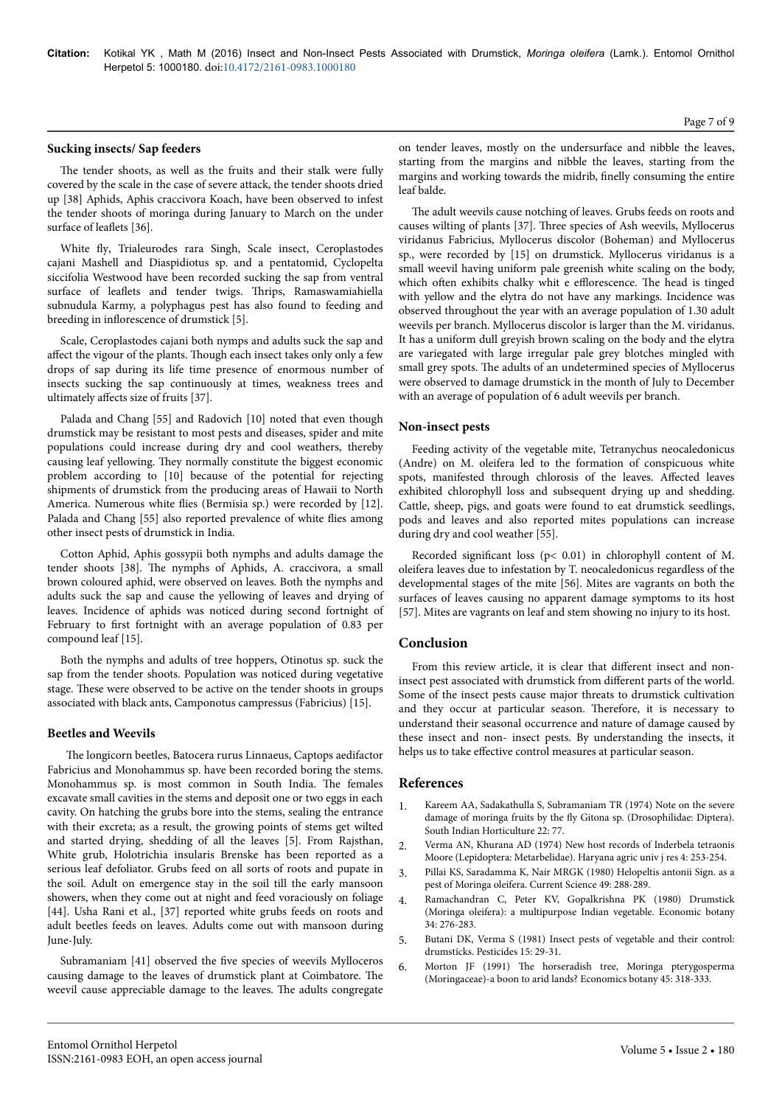#### **Sucking insects/ Sap feeders**

The tender shoots, as well as the fruits and their stalk were fully covered by the scale in the case of severe attack, the tender shoots dried up [38] Aphids, Aphis craccivora Koach, have been observed to infest the tender shoots of moringa during January to March on the under surface of leaflets [36].

White fly, Trialeurodes rara Singh, Scale insect, Ceroplastodes cajani Mashell and Diaspidiotus sp. and a pentatomid, Cyclopelta siccifolia Westwood have been recorded sucking the sap from ventral surface of leaflets and tender twigs. Нrips, Ramaswamiahiella subnudula Karmy, a polyphagus pest has also found to feeding and breeding in inflorescence of drumstick [5].

Scale, Ceroplastodes cajani both nymps and adults suck the sap and affect the vigour of the plants. Though each insect takes only only a few drops of sap during its life time presence of enormous number of insects sucking the sap continuously at times, weakness trees and ultimately affects size of fruits [37].

Palada and Chang [55] and Radovich [10] noted that even though drumstick may be resistant to most pests and diseases, spider and mite populations could increase during dry and cool weathers, thereby causing leaf yellowing. They normally constitute the biggest economic problem according to [10] because of the potential for rejecting shipments of drumstick from the producing areas of Hawaii to North America. Numerous white flies (Bermisia sp.) were recorded by [12]. Palada and Chang [55] also reported prevalence of white flies among other insect pests of drumstick in India.

Cotton Aphid, Aphis gossypii both nymphs and adults damage the tender shoots [38]. Нe nymphs of Aphids, A. craccivora, a small brown coloured aphid, were observed on leaves. Both the nymphs and adults suck the sap and cause the yellowing of leaves and drying of leaves. Incidence of aphids was noticed during second fortnight of February to first fortnight with an average population of 0.83 per compound leaf [15].

Both the nymphs and adults of tree hoppers, Otinotus sp. suck the sap from the tender shoots. Population was noticed during vegetative stage. These were observed to be active on the tender shoots in groups associated with black ants, Camponotus campressus (Fabricius) [15].

#### **Beetles and Weevils**

The longicorn beetles, Batocera rurus Linnaeus, Captops aedifactor Fabricius and Monohammus sp. have been recorded boring the stems. Monohammus sp. is most common in South India. Нe females excavate small cavities in the stems and deposit one or two eggs in each cavity. On hatching the grubs bore into the stems, sealing the entrance with their excreta; as a result, the growing points of stems get wilted and started drying, shedding of all the leaves [5]. From Rajsthan, White grub, Holotrichia insularis Brenske has been reported as a serious leaf defoliator. Grubs feed on all sorts of roots and pupate in the soil. Adult on emergence stay in the soil till the early mansoon showers, when they come out at night and feed voraciously on foliage [44]. Usha Rani et al., [37] reported white grubs feeds on roots and adult beetles feeds on leaves. Adults come out with mansoon during June-July.

Subramaniam [41] observed the five species of weevils Mylloceros causing damage to the leaves of drumstick plant at Coimbatore. Нe weevil cause appreciable damage to the leaves. Нe adults congregate

on tender leaves, mostly on the undersurface and nibble the leaves, starting from the margins and nibble the leaves, starting from the margins and working towards the midrib, finelly consuming the entire leaf balde.

The adult weevils cause notching of leaves. Grubs feeds on roots and causes wilting of plants [37]. Нree species of Ash weevils, Myllocerus viridanus Fabricius, Myllocerus discolor (Boheman) and Myllocerus sp., were recorded by [15] on drumstick. Myllocerus viridanus is a small weevil having uniform pale greenish white scaling on the body, which often exhibits chalky whit e efflorescence. The head is tinged with yellow and the elytra do not have any markings. Incidence was observed throughout the year with an average population of 1.30 adult weevils per branch. Myllocerus discolor is larger than the M. viridanus. It has a uniform dull greyish brown scaling on the body and the elytra are variegated with large irregular pale grey blotches mingled with small grey spots. Нe adults of an undetermined species of Myllocerus were observed to damage drumstick in the month of July to December with an average of population of 6 adult weevils per branch.

## **Non-insect pests**

Feeding activity of the vegetable mite, Tetranychus neocaledonicus (Andre) on M. oleifera led to the formation of conspicuous white spots, manifested through chlorosis of the leaves. Affected leaves exhibited chlorophyll loss and subsequent drying up and shedding. Cattle, sheep, pigs, and goats were found to eat drumstick seedlings, pods and leaves and also reported mites populations can increase during dry and cool weather [55].

Recorded significant loss (p< 0.01) in chlorophyll content of M. oleifera leaves due to infestation by T. neocaledonicus regardless of the developmental stages of the mite [56]. Mites are vagrants on both the surfaces of leaves causing no apparent damage symptoms to its host [57]. Mites are vagrants on leaf and stem showing no injury to its host.

# **Conclusion**

From this review article, it is clear that different insect and noninsect pest associated with drumstick from different parts of the world. Some of the insect pests cause major threats to drumstick cultivation and they occur at particular season. Нerefore, it is necessary to understand their seasonal occurrence and nature of damage caused by these insect and non- insect pests. By understanding the insects, it helps us to take effective control measures at particular season.

# **References**

- 1. [Kareem AA, Sadakathulla S, Subramaniam TR \(1974\) Note on the severe](http://agris.fao.org/agris-search/search.do?recordID=US201302724690) damage of moringa fruits by the fly [Gitona sp. \(Drosophilidae: Diptera\).](http://agris.fao.org/agris-search/search.do?recordID=US201302724690) [South Indian Horticulture 22: 77.](http://agris.fao.org/agris-search/search.do?recordID=US201302724690)
- 2. Verma AN, Khurana AD (1974) New host records of Inderbela tetraonis Moore (Lepidoptera: Metarbelidae). Haryana agric univ j res 4: 253-254.
- 3. [Pillai KS, Saradamma K, Nair MRGK \(1980\) Helopeltis antonii Sign. as a](http://agris.fao.org/agris-search/search.do?recordID=US201301346831) [pest of Moringa oleifera. Current Science 49: 288-289.](http://agris.fao.org/agris-search/search.do?recordID=US201301346831)
- 4. [Ramachandran C, Peter KV, Gopalkrishna PK \(1980\) Drumstick](http://www.springerlink.com/index/G796Q33J713110N0.pdf) [\(Moringa oleifera\): a multipurpose Indian vegetable. Economic botany](http://www.springerlink.com/index/G796Q33J713110N0.pdf) [34: 276-283.](http://www.springerlink.com/index/G796Q33J713110N0.pdf)
- 5. [Butani DK, Verma S \(1981\) Insect pests of vegetable and their control:](http://agris.fao.org/agris-search/search.do?recordID=US201301965019) [drumsticks. Pesticides 15: 29-31.](http://agris.fao.org/agris-search/search.do?recordID=US201301965019)
- 6. Morton JF (1991) Нe [horseradish tree, Moringa pterygosperma](http://link.springer.com/article/10.1007/BF02887070) [\(Moringaceae\)-a boon to arid lands? Economics botany 45: 318-333.](http://link.springer.com/article/10.1007/BF02887070)